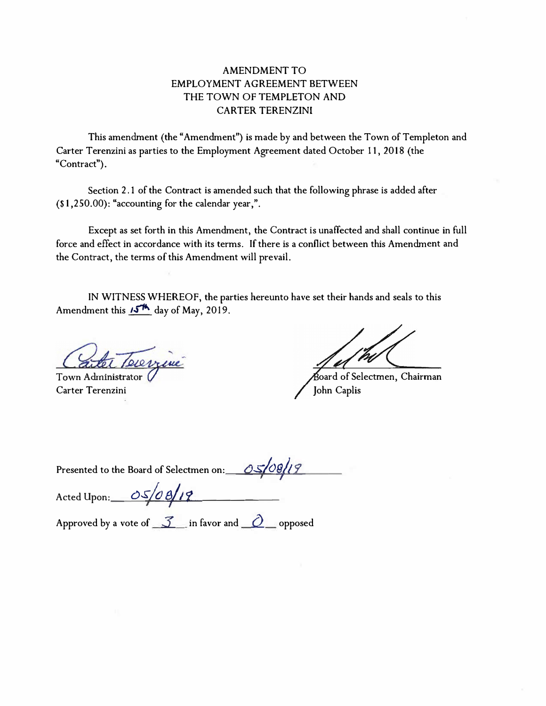# AMENDMENT TO EMPLOYMENT AGREEMENT BETWEEN THE TOWN OF TEMPLETON AND CARTER TERENZINI

This amendment (the "Amendment") is made by and between the Town of Templeton and Carter Terenzini as parties to the Employment Agreement dated October 11, 2018 (the "Contract").

Section 2. 1 of the Contract is amended such that the following phrase is added after (\$1,250.00): "accounting for the calendar year,".

Except as set forth in this Amendment, the Contract is unaffected and shall continue in full force and effect in accordance with its terms. If there is a conflict between this Amendment and the Contract, the terms of this Amendment will prevail.

IN WITNESS WHEREOF, the parties hereunto have set their hands and seals to this Amendment this 15<sup>th</sup> day of May, 2019.

Town Administrator ( Carter Terenzini

oard of Selectmen, Chairman John Caplis

Presented to the Board of Selectmen on: 05/08/19

Acted Upon: \_\_\_ *OS 0 8 19* 

Approved by a vote of <u>3</u> in favor and <u>0</u> opposed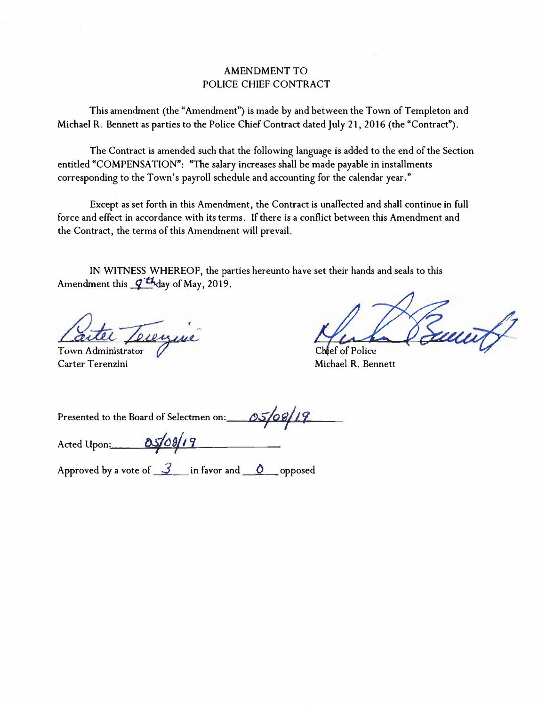## AMENDMENT TO POLICE CHIEF CONTRACT

This amendment (the "Amendment") is made by and between the Town of Templeton and Michael R. Bennett as parties to the Police Chief Contract dated July 21, 2016 (the "Contract").

The Contract is amended such that the following language is added to the end of the Section entitled "COMPENSATION": "The salary increases shall he made payable in installments corresponding to the Town's payroll schedule and accounting for the calendar year."

Except as set forth in this Amendment, the Contract is unaffected and shall continue in full force and effect in accordance with its terms. If there is a conflict between this Amendment and the Contract, the terms of this Amendment will prevail.

IN WITNESS WHEREOF, the parties hereunto have set their hands and seals to this Amendment this  $q$ <sup>th</sup>day of May, 2019.

**Town Administrator** Carter Terenzini **Michael R. Bennett** 

aut

Presented to the Board of Selectmen on: / *J* 

Acted Upon: 05/08/19

Approved by a vote of 3 in favor and 0 opposed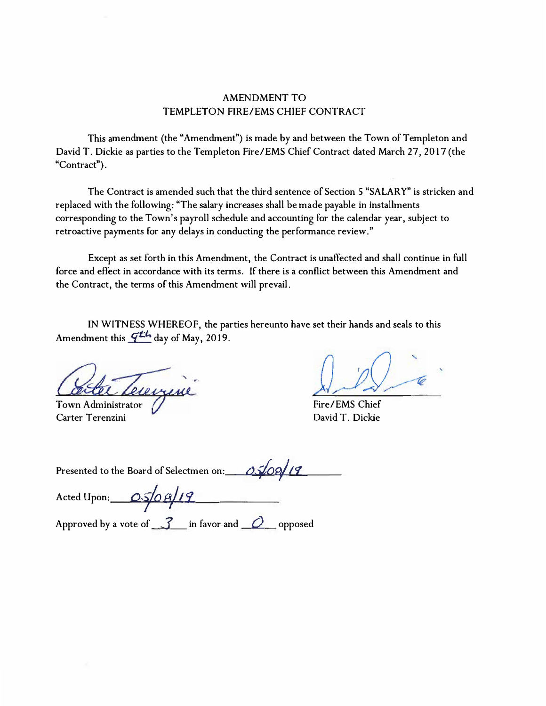#### AMENDMENT TO TEMPLETON FIRE/EMS CHIEF CONTRACT

This amendment (the "Amendment") is made by and between the Town of Templeton and David T. Dickie as parties to the Templeton Fire/EMS Chief Contract dated March 27, 2017 (the "Contract").

The Contract is amended such that the third sentence of Section 5 "SALARY" is stricken and replaced with the following: "The salary increases shall be made payable in installments corresponding to the Town's payroll schedule and accounting for the calendar year, subject to retroactive payments for any delays in conducting the performance review."

Except as set forth in this Amendment, the Contract is unaffected and shall continue in full force and effect in accordance with its terms. If there is a conflict between this Amendment and the Contract, the terms of this Amendment will prevail.

IN WITNESS WHEREOF, the parties hereunto have set their hands and seals to this Amendment this  $\mathcal{F}^{th}$  day of May, 2019.

 $\tilde{\phantom{a}}$ 

Town Administrator Carter Terenzini

 $\sim$ 

Fire/EMS Chief David T. Dickie

Presented to the Board of Selectmen on: *....... 0.5/09/19* 

Acted Upon: 05/08/19

Approved by a vote of *f* in favor and *O* opposed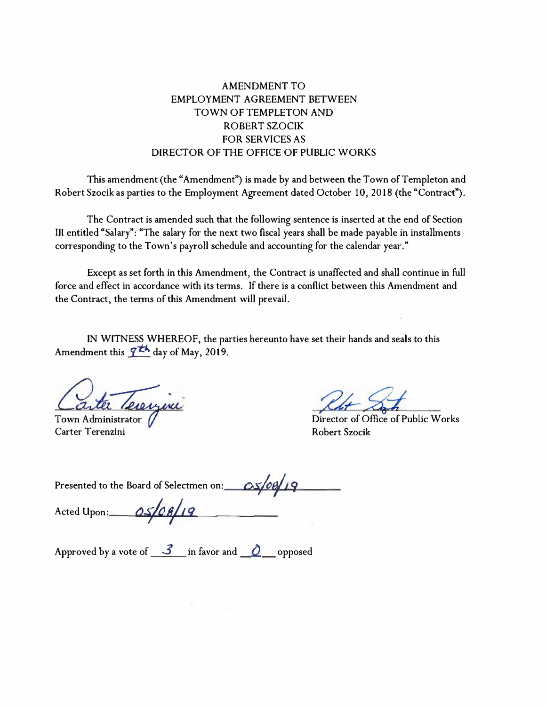# AMENDMENT TO EMPLOYMENT AGREEMENT BETWEEN TOWN OF TEMPLETON AND ROBERT SZOCIK FOR SERVICES AS DIRECTOR OF THE OFFICE OF PUBLIC WORKS

This amendment (the "Amendment") is made by and between the Town of Templeton and Robert Szocik as parties to the Employment Agreement dated October 10, 2018 (the "Contract").

The Contract is amended such that the following sentence is inserted at the end of Section Ill entitled "Salary": "The salary for the next two fiscal years shall be made payable in installments corresponding to the Town's payroll schedule and accounting for the calendar year."

Except as set forth in this Amendment, the Contract is unaffected and shall continue in full force and effect in accordance with its terms. If there is a conflict between this Amendment and the Contract, the terms of this Amendment will prevail.

IN WITNESS WHEREOF, the parties hereunto have set their hands and seals to this Amendment this  $\overline{q}$ <sup>th</sup> day of May, 2019.

Leveryere

Town Administrator Carter Terenzini

Director of Office of Public Works Robert Szocik

 $P$ resented to the Board of Selectmen on:  $Q \le \log_2 1.9$ 

Acted Upon: 05/08

Approved by a vote of  $\frac{3}{2}$  in favor and  $\frac{0}{2}$  opposed